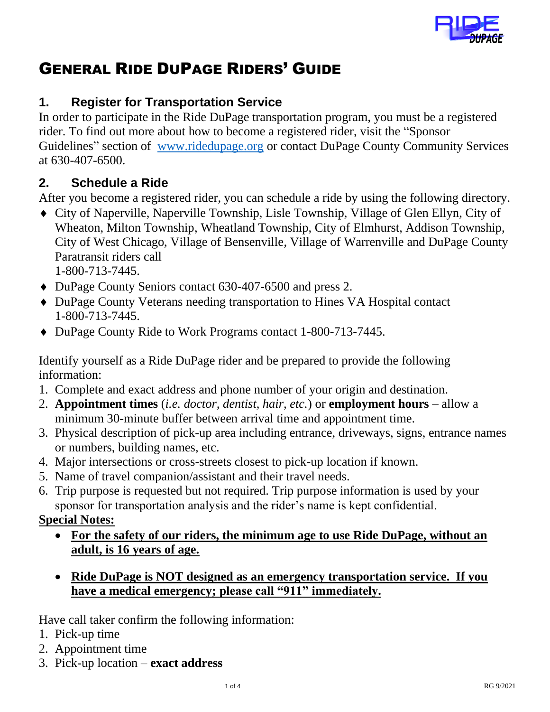

# GENERAL RIDE DUPAGE RIDERS' GUIDE

### **1. Register for Transportation Service**

In order to participate in the Ride DuPage transportation program, you must be a registered rider. To find out more about how to become a registered rider, visit the "Sponsor Guidelines" section of [www.ridedupage.org](http://www.ridedupage.org/) or contact DuPage County Community Services at 630-407-6500.

### **2. Schedule a Ride**

After you become a registered rider, you can schedule a ride by using the following directory.

- City of Naperville, Naperville Township, Lisle Township, Village of Glen Ellyn, City of Wheaton, Milton Township, Wheatland Township, City of Elmhurst, Addison Township, City of West Chicago, Village of Bensenville, Village of Warrenville and DuPage County Paratransit riders call 1-800-713-7445.
- DuPage County Seniors contact 630-407-6500 and press 2.
- DuPage County Veterans needing transportation to Hines VA Hospital contact 1-800-713-7445.
- ◆ DuPage County Ride to Work Programs contact 1-800-713-7445.

Identify yourself as a Ride DuPage rider and be prepared to provide the following information:

- 1. Complete and exact address and phone number of your origin and destination.
- 2. **Appointment times** (*i.e. doctor, dentist, hair, etc.*) or **employment hours** allow a minimum 30-minute buffer between arrival time and appointment time.
- 3. Physical description of pick-up area including entrance, driveways, signs, entrance names or numbers, building names, etc.
- 4. Major intersections or cross-streets closest to pick-up location if known.
- 5. Name of travel companion/assistant and their travel needs.
- 6. Trip purpose is requested but not required. Trip purpose information is used by your sponsor for transportation analysis and the rider's name is kept confidential.

#### **Special Notes:**

- **For the safety of our riders, the minimum age to use Ride DuPage, without an adult, is 16 years of age.**
- **Ride DuPage is NOT designed as an emergency transportation service. If you have a medical emergency; please call "911" immediately.**

Have call taker confirm the following information:

- 1. Pick-up time
- 2. Appointment time
- 3. Pick-up location **exact address**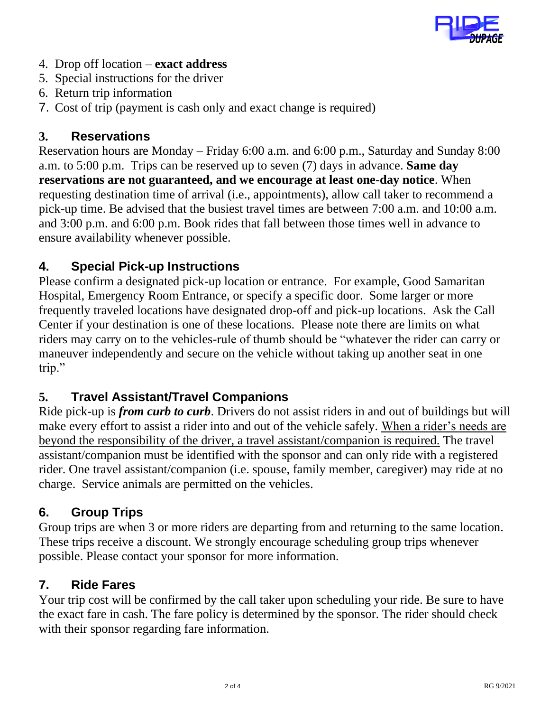

- 4. Drop off location **exact address**
- 5. Special instructions for the driver
- 6. Return trip information
- 7. Cost of trip (payment is cash only and exact change is required)

#### **3. Reservations**

Reservation hours are Monday – Friday 6:00 a.m. and 6:00 p.m., Saturday and Sunday 8:00 a.m. to 5:00 p.m. Trips can be reserved up to seven (7) days in advance. **Same day reservations are not guaranteed, and we encourage at least one-day notice**. When requesting destination time of arrival (i.e., appointments), allow call taker to recommend a pick-up time. Be advised that the busiest travel times are between 7:00 a.m. and 10:00 a.m. and 3:00 p.m. and 6:00 p.m. Book rides that fall between those times well in advance to ensure availability whenever possible.

### **4. Special Pick-up Instructions**

Please confirm a designated pick-up location or entrance. For example, Good Samaritan Hospital, Emergency Room Entrance, or specify a specific door. Some larger or more frequently traveled locations have designated drop-off and pick-up locations. Ask the Call Center if your destination is one of these locations. Please note there are limits on what riders may carry on to the vehicles-rule of thumb should be "whatever the rider can carry or maneuver independently and secure on the vehicle without taking up another seat in one trip."

### **5. Travel Assistant/Travel Companions**

Ride pick-up is *from curb to curb*. Drivers do not assist riders in and out of buildings but will make every effort to assist a rider into and out of the vehicle safely. When a rider's needs are beyond the responsibility of the driver, a travel assistant/companion is required. The travel assistant/companion must be identified with the sponsor and can only ride with a registered rider. One travel assistant/companion (i.e. spouse, family member, caregiver) may ride at no charge. Service animals are permitted on the vehicles.

### **6. Group Trips**

Group trips are when 3 or more riders are departing from and returning to the same location. These trips receive a discount. We strongly encourage scheduling group trips whenever possible. Please contact your sponsor for more information.

#### **7. Ride Fares**

Your trip cost will be confirmed by the call taker upon scheduling your ride. Be sure to have the exact fare in cash. The fare policy is determined by the sponsor. The rider should check with their sponsor regarding fare information.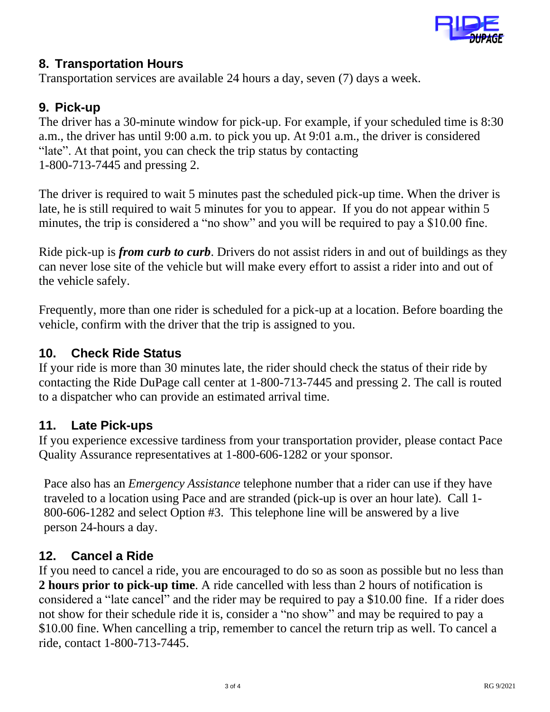

#### **8. Transportation Hours**

Transportation services are available 24 hours a day, seven (7) days a week.

### **9. Pick-up**

The driver has a 30-minute window for pick-up. For example, if your scheduled time is 8:30 a.m., the driver has until 9:00 a.m. to pick you up. At 9:01 a.m., the driver is considered "late". At that point, you can check the trip status by contacting 1-800-713-7445 and pressing 2.

The driver is required to wait 5 minutes past the scheduled pick-up time. When the driver is late, he is still required to wait 5 minutes for you to appear. If you do not appear within 5 minutes, the trip is considered a "no show" and you will be required to pay a \$10.00 fine.

Ride pick-up is *from curb to curb*. Drivers do not assist riders in and out of buildings as they can never lose site of the vehicle but will make every effort to assist a rider into and out of the vehicle safely.

Frequently, more than one rider is scheduled for a pick-up at a location. Before boarding the vehicle, confirm with the driver that the trip is assigned to you.

### **10. Check Ride Status**

If your ride is more than 30 minutes late, the rider should check the status of their ride by contacting the Ride DuPage call center at 1-800-713-7445 and pressing 2. The call is routed to a dispatcher who can provide an estimated arrival time.

### **11. Late Pick-ups**

If you experience excessive tardiness from your transportation provider, please contact Pace Quality Assurance representatives at 1-800-606-1282 or your sponsor.

Pace also has an *Emergency Assistance* telephone number that a rider can use if they have traveled to a location using Pace and are stranded (pick-up is over an hour late). Call 1- 800-606-1282 and select Option #3. This telephone line will be answered by a live person 24-hours a day.

### **12. Cancel a Ride**

If you need to cancel a ride, you are encouraged to do so as soon as possible but no less than **2 hours prior to pick-up time**. A ride cancelled with less than 2 hours of notification is considered a "late cancel" and the rider may be required to pay a \$10.00 fine. If a rider does not show for their schedule ride it is, consider a "no show" and may be required to pay a \$10.00 fine. When cancelling a trip, remember to cancel the return trip as well. To cancel a ride, contact 1-800-713-7445.